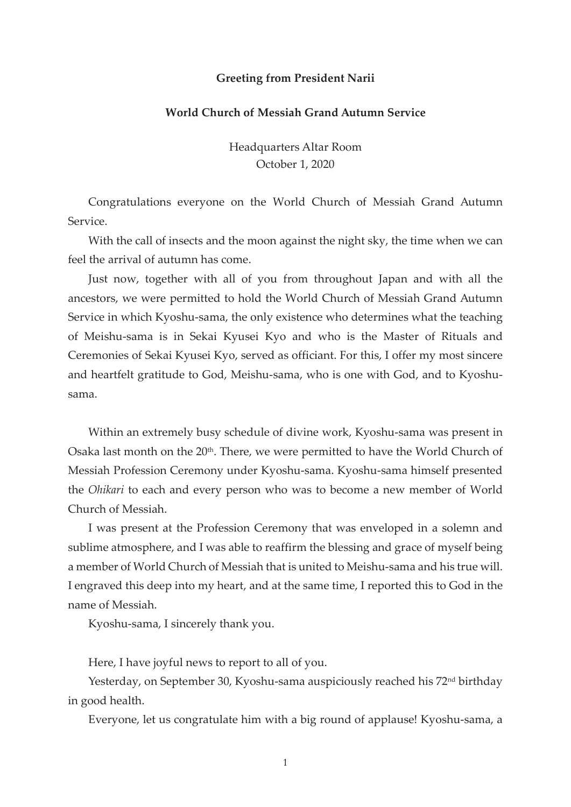## Greeting from President Narii

## World Church of Messiah Grand Autumn Service

Headquarters Altar Room October 1, 2020

Congratulations everyone on the World Church of Messiah Grand Autumn Service.

With the call of insects and the moon against the night sky, the time when we can feel the arrival of autumn has come.

Just now, together with all of you from throughout Japan and with all the ancestors, we were permitted to hold the World Church of Messiah Grand Autumn Service in which Kyoshu-sama, the only existence who determines what the teaching of Meishu-sama is in Sekai Kyusei Kyo and who is the Master of Rituals and Ceremonies of Sekai Kyusei Kyo, served as officiant. For this, I offer my most sincere and heartfelt gratitude to God, Meishu-sama, who is one with God, and to Kyoshusama.

Within an extremely busy schedule of divine work, Kyoshu-sama was present in Osaka last month on the 20<sup>th</sup>. There, we were permitted to have the World Church of Messiah Profession Ceremony under Kyoshu-sama. Kyoshu-sama himself presented the Ohikari to each and every person who was to become a new member of World Church of Messiah.

I was present at the Profession Ceremony that was enveloped in a solemn and sublime atmosphere, and I was able to reaffirm the blessing and grace of myself being a member of World Church of Messiah that is united to Meishu-sama and his true will. I engraved this deep into my heart, and at the same time, I reported this to God in the name of Messiah.

Kyoshu-sama, I sincerely thank you.

Here, I have joyful news to report to all of you.

Yesterday, on September 30, Kyoshu-sama auspiciously reached his 72<sup>nd</sup> birthday in good health.

Everyone, let us congratulate him with a big round of applause! Kyoshu-sama, a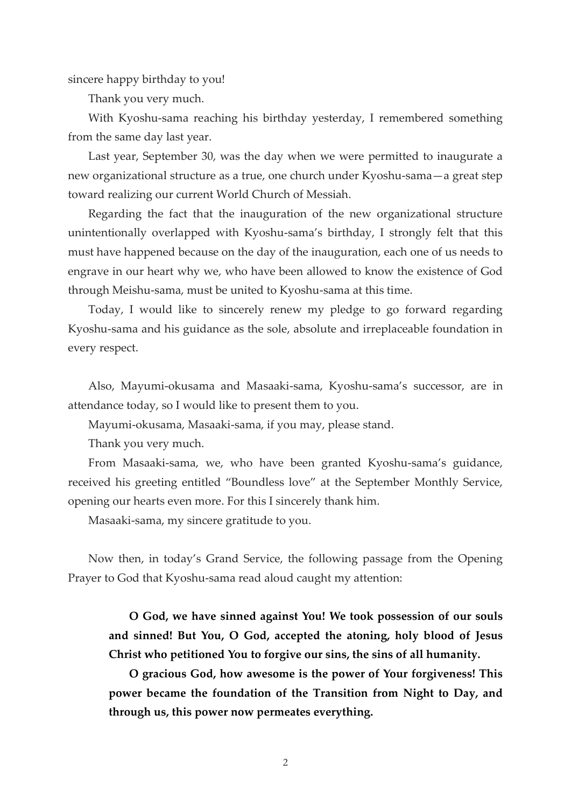sincere happy birthday to you!

Thank you very much.

With Kyoshu-sama reaching his birthday yesterday, I remembered something from the same day last year.

Last year, September 30, was the day when we were permitted to inaugurate a new organizational structure as a true, one church under Kyoshu-sama—a great step toward realizing our current World Church of Messiah.

Regarding the fact that the inauguration of the new organizational structure unintentionally overlapped with Kyoshu-sama's birthday, I strongly felt that this must have happened because on the day of the inauguration, each one of us needs to engrave in our heart why we, who have been allowed to know the existence of God through Meishu-sama, must be united to Kyoshu-sama at this time.

Today, I would like to sincerely renew my pledge to go forward regarding Kyoshu-sama and his guidance as the sole, absolute and irreplaceable foundation in every respect.

Also, Mayumi-okusama and Masaaki-sama, Kyoshu-sama's successor, are in attendance today, so I would like to present them to you.

Mayumi-okusama, Masaaki-sama, if you may, please stand.

Thank you very much.

From Masaaki-sama, we, who have been granted Kyoshu-sama's guidance, received his greeting entitled "Boundless love" at the September Monthly Service, opening our hearts even more. For this I sincerely thank him.

Masaaki-sama, my sincere gratitude to you.

Now then, in today's Grand Service, the following passage from the Opening Prayer to God that Kyoshu-sama read aloud caught my attention:

O God, we have sinned against You! We took possession of our souls and sinned! But You, O God, accepted the atoning, holy blood of Jesus Christ who petitioned You to forgive our sins, the sins of all humanity.

O gracious God, how awesome is the power of Your forgiveness! This power became the foundation of the Transition from Night to Day, and through us, this power now permeates everything.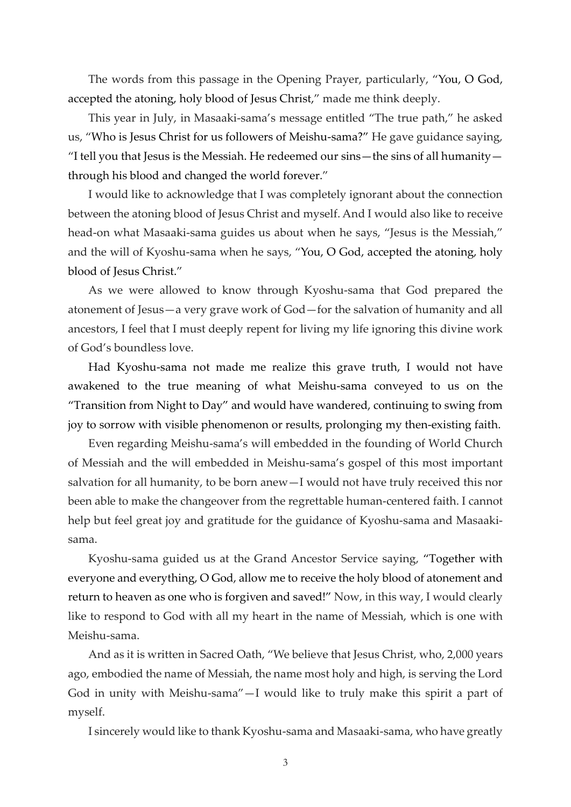The words from this passage in the Opening Prayer, particularly, "You, O God, accepted the atoning, holy blood of Jesus Christ," made me think deeply.

This year in July, in Masaaki-sama's message entitled "The true path," he asked us, "Who is Jesus Christ for us followers of Meishu-sama?" He gave guidance saying, "I tell you that Jesus is the Messiah. He redeemed our sins—the sins of all humanity through his blood and changed the world forever."

I would like to acknowledge that I was completely ignorant about the connection between the atoning blood of Jesus Christ and myself. And I would also like to receive head-on what Masaaki-sama guides us about when he says, "Jesus is the Messiah," and the will of Kyoshu-sama when he says, "You, O God, accepted the atoning, holy blood of Jesus Christ."

As we were allowed to know through Kyoshu-sama that God prepared the atonement of Jesus—a very grave work of God—for the salvation of humanity and all ancestors, I feel that I must deeply repent for living my life ignoring this divine work of God's boundless love.

Had Kyoshu-sama not made me realize this grave truth, I would not have awakened to the true meaning of what Meishu-sama conveyed to us on the "Transition from Night to Day" and would have wandered, continuing to swing from joy to sorrow with visible phenomenon or results, prolonging my then-existing faith.

Even regarding Meishu-sama's will embedded in the founding of World Church of Messiah and the will embedded in Meishu-sama's gospel of this most important salvation for all humanity, to be born anew—I would not have truly received this nor been able to make the changeover from the regrettable human-centered faith. I cannot help but feel great joy and gratitude for the guidance of Kyoshu-sama and Masaakisama.

Kyoshu-sama guided us at the Grand Ancestor Service saying, "Together with everyone and everything, O God, allow me to receive the holy blood of atonement and return to heaven as one who is forgiven and saved!" Now, in this way, I would clearly like to respond to God with all my heart in the name of Messiah, which is one with Meishu-sama.

And as it is written in Sacred Oath, "We believe that Jesus Christ, who, 2,000 years ago, embodied the name of Messiah, the name most holy and high, is serving the Lord God in unity with Meishu-sama"—I would like to truly make this spirit a part of myself.

I sincerely would like to thank Kyoshu-sama and Masaaki-sama, who have greatly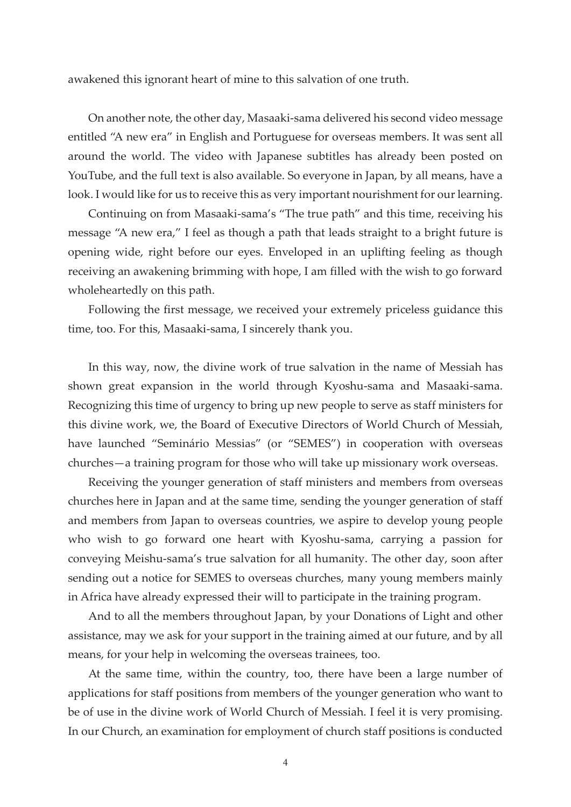awakened this ignorant heart of mine to this salvation of one truth.

On another note, the other day, Masaaki-sama delivered his second video message entitled "A new era" in English and Portuguese for overseas members. It was sent all around the world. The video with Japanese subtitles has already been posted on YouTube, and the full text is also available. So everyone in Japan, by all means, have a look. I would like for us to receive this as very important nourishment for our learning.

Continuing on from Masaaki-sama's "The true path" and this time, receiving his message "A new era," I feel as though a path that leads straight to a bright future is opening wide, right before our eyes. Enveloped in an uplifting feeling as though receiving an awakening brimming with hope, I am filled with the wish to go forward wholeheartedly on this path.

Following the first message, we received your extremely priceless guidance this time, too. For this, Masaaki-sama, I sincerely thank you.

In this way, now, the divine work of true salvation in the name of Messiah has shown great expansion in the world through Kyoshu-sama and Masaaki-sama. Recognizing this time of urgency to bring up new people to serve as staff ministers for this divine work, we, the Board of Executive Directors of World Church of Messiah, have launched "Seminário Messias" (or "SEMES") in cooperation with overseas churches—a training program for those who will take up missionary work overseas.

Receiving the younger generation of staff ministers and members from overseas churches here in Japan and at the same time, sending the younger generation of staff and members from Japan to overseas countries, we aspire to develop young people who wish to go forward one heart with Kyoshu-sama, carrying a passion for conveying Meishu-sama's true salvation for all humanity. The other day, soon after sending out a notice for SEMES to overseas churches, many young members mainly in Africa have already expressed their will to participate in the training program.

And to all the members throughout Japan, by your Donations of Light and other assistance, may we ask for your support in the training aimed at our future, and by all means, for your help in welcoming the overseas trainees, too.

At the same time, within the country, too, there have been a large number of applications for staff positions from members of the younger generation who want to be of use in the divine work of World Church of Messiah. I feel it is very promising. In our Church, an examination for employment of church staff positions is conducted